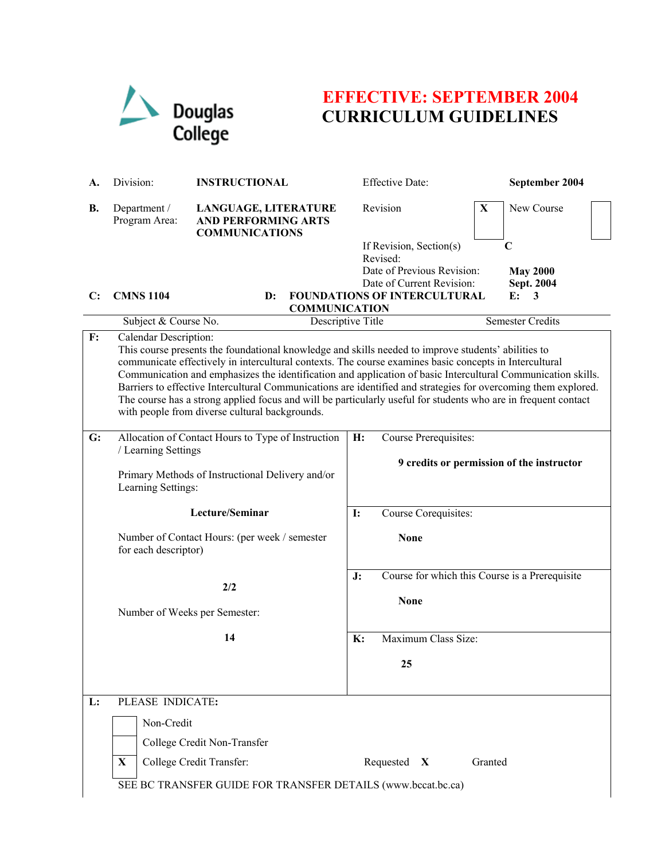

# **EFFECTIVE: SEPTEMBER 2004 CURRICULUM GUIDELINES**

| А. | Division:                                                                                                                                                                                                                                                                                                                                                                                                                                                                                                                                                                                                                                    | <b>INSTRUCTIONAL</b>                                                                                                                                      | <b>Effective Date:</b>                                                                         | September 2004                                                     |  |  |
|----|----------------------------------------------------------------------------------------------------------------------------------------------------------------------------------------------------------------------------------------------------------------------------------------------------------------------------------------------------------------------------------------------------------------------------------------------------------------------------------------------------------------------------------------------------------------------------------------------------------------------------------------------|-----------------------------------------------------------------------------------------------------------------------------------------------------------|------------------------------------------------------------------------------------------------|--------------------------------------------------------------------|--|--|
| В. | Department /<br>Program Area:                                                                                                                                                                                                                                                                                                                                                                                                                                                                                                                                                                                                                | LANGUAGE, LITERATURE<br><b>AND PERFORMING ARTS</b><br><b>COMMUNICATIONS</b>                                                                               | Revision                                                                                       | X<br>New Course                                                    |  |  |
| C: | <b>CMNS 1104</b>                                                                                                                                                                                                                                                                                                                                                                                                                                                                                                                                                                                                                             |                                                                                                                                                           | If Revision, Section(s)<br>Revised:<br>Date of Previous Revision:<br>Date of Current Revision: | C<br><b>May 2000</b><br>Sept. 2004<br>E:<br>3                      |  |  |
|    |                                                                                                                                                                                                                                                                                                                                                                                                                                                                                                                                                                                                                                              | <b>FOUNDATIONS OF INTERCULTURAL</b><br>$\mathbf{D}$ :<br><b>COMMUNICATION</b>                                                                             |                                                                                                |                                                                    |  |  |
|    | Subject & Course No.                                                                                                                                                                                                                                                                                                                                                                                                                                                                                                                                                                                                                         |                                                                                                                                                           | Descriptive Title                                                                              | <b>Semester Credits</b>                                            |  |  |
| F: | Calendar Description:<br>This course presents the foundational knowledge and skills needed to improve students' abilities to<br>communicate effectively in intercultural contexts. The course examines basic concepts in Intercultural<br>Communication and emphasizes the identification and application of basic Intercultural Communication skills.<br>Barriers to effective Intercultural Communications are identified and strategies for overcoming them explored.<br>The course has a strong applied focus and will be particularly useful for students who are in frequent contact<br>with people from diverse cultural backgrounds. |                                                                                                                                                           |                                                                                                |                                                                    |  |  |
| G: |                                                                                                                                                                                                                                                                                                                                                                                                                                                                                                                                                                                                                                              | Allocation of Contact Hours to Type of Instruction<br>H:<br>/ Learning Settings<br>Primary Methods of Instructional Delivery and/or<br>Learning Settings: |                                                                                                | Course Prerequisites:<br>9 credits or permission of the instructor |  |  |
|    |                                                                                                                                                                                                                                                                                                                                                                                                                                                                                                                                                                                                                                              | Lecture/Seminar                                                                                                                                           | Course Corequisites:<br>$\mathbf{I}$ :                                                         |                                                                    |  |  |
|    | for each descriptor)                                                                                                                                                                                                                                                                                                                                                                                                                                                                                                                                                                                                                         | Number of Contact Hours: (per week / semester                                                                                                             | <b>None</b>                                                                                    |                                                                    |  |  |
|    | 2/2<br>Number of Weeks per Semester:                                                                                                                                                                                                                                                                                                                                                                                                                                                                                                                                                                                                         |                                                                                                                                                           | J:<br><b>None</b>                                                                              | Course for which this Course is a Prerequisite                     |  |  |
|    |                                                                                                                                                                                                                                                                                                                                                                                                                                                                                                                                                                                                                                              | 14                                                                                                                                                        | Maximum Class Size:<br>K:                                                                      |                                                                    |  |  |
|    |                                                                                                                                                                                                                                                                                                                                                                                                                                                                                                                                                                                                                                              |                                                                                                                                                           | 25                                                                                             |                                                                    |  |  |
| L: | PLEASE INDICATE:<br>Non-Credit<br>X                                                                                                                                                                                                                                                                                                                                                                                                                                                                                                                                                                                                          | College Credit Non-Transfer<br>College Credit Transfer:<br>SEE BC TRANSFER GUIDE FOR TRANSFER DETAILS (www.bccat.bc.ca)                                   | Requested $X$                                                                                  | Granted                                                            |  |  |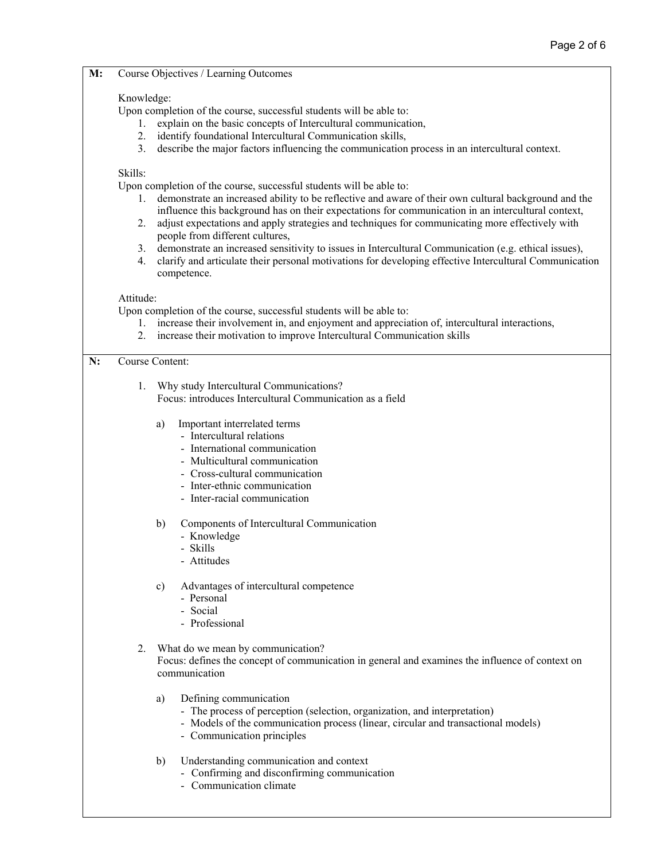#### **M:** Course Objectives / Learning Outcomes

## Knowledge:

Upon completion of the course, successful students will be able to:

- 1. explain on the basic concepts of Intercultural communication,
- 2. identify foundational Intercultural Communication skills,
- 3. describe the major factors influencing the communication process in an intercultural context.

## Skills:

Upon completion of the course, successful students will be able to:

- 1. demonstrate an increased ability to be reflective and aware of their own cultural background and the influence this background has on their expectations for communication in an intercultural context,
- 2. adjust expectations and apply strategies and techniques for communicating more effectively with people from different cultures,
- 3. demonstrate an increased sensitivity to issues in Intercultural Communication (e.g. ethical issues),
- 4. clarify and articulate their personal motivations for developing effective Intercultural Communication competence.

### Attitude:

Upon completion of the course, successful students will be able to:

- 1. increase their involvement in, and enjoyment and appreciation of, intercultural interactions,
- 2. increase their motivation to improve Intercultural Communication skills

## **N:** Course Content:

- 1. Why study Intercultural Communications? Focus: introduces Intercultural Communication as a field
	- a) Important interrelated terms
		- Intercultural relations
		- International communication
		- Multicultural communication
		- Cross-cultural communication
		- Inter-ethnic communication
		- Inter-racial communication
	- b) Components of Intercultural Communication
		- Knowledge
		- Skills
		- Attitudes

c) Advantages of intercultural competence

- Personal
- Social
- Professional
- 2. What do we mean by communication? Focus: defines the concept of communication in general and examines the influence of context on communication
	- a) Defining communication
		- The process of perception (selection, organization, and interpretation)
		- Models of the communication process (linear, circular and transactional models)
		- Communication principles
	- b) Understanding communication and context
		- Confirming and disconfirming communication
		- Communication climate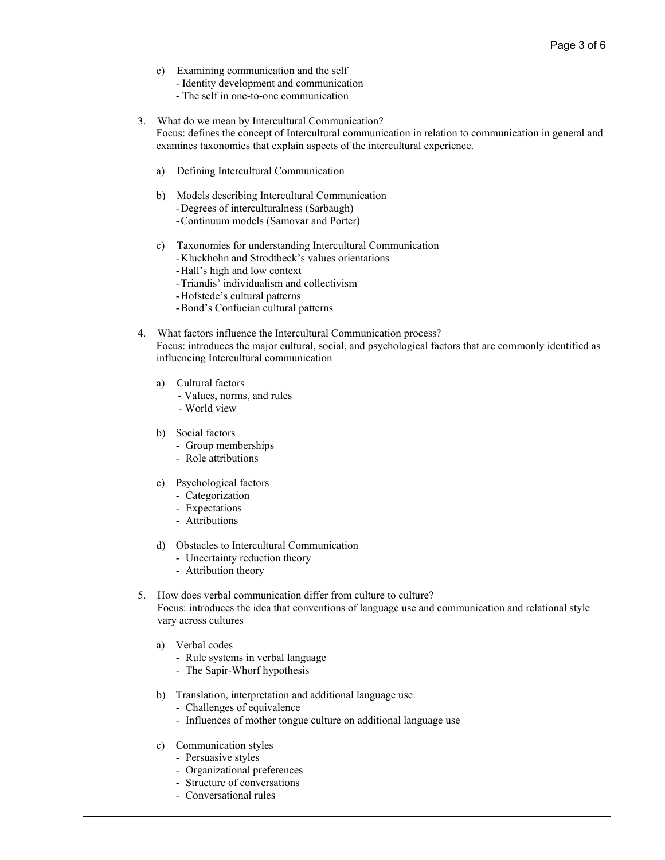- c) Examining communication and the self - Identity development and communication
	- The self in one-to-one communication
- 3. What do we mean by Intercultural Communication? Focus: defines the concept of Intercultural communication in relation to communication in general and examines taxonomies that explain aspects of the intercultural experience.
	- a) Defining Intercultural Communication
	- b) Models describing Intercultural Communication -Degrees of interculturalness (Sarbaugh) -Continuum models (Samovar and Porter)
	-
	- c) Taxonomies for understanding Intercultural Communication -Kluckhohn and Strodtbeck's values orientations
		- -Hall's high and low context
		- -Triandis' individualism and collectivism
		- -Hofstede's cultural patterns
		- -Bond's Confucian cultural patterns
- 4. What factors influence the Intercultural Communication process? Focus: introduces the major cultural, social, and psychological factors that are commonly identified as influencing Intercultural communication
	- a) Cultural factors
		- Values, norms, and rules
		- World view
	- b) Social factors
		- Group memberships
		- Role attributions
	- c) Psychological factors
		- Categorization
		- Expectations
		- Attributions
	- d) Obstacles to Intercultural Communication
		- Uncertainty reduction theory
		- Attribution theory
- 5. How does verbal communication differ from culture to culture? Focus: introduces the idea that conventions of language use and communication and relational style vary across cultures
	- a) Verbal codes
		- Rule systems in verbal language
		- The Sapir-Whorf hypothesis
	- b) Translation, interpretation and additional language use
		- Challenges of equivalence
		- Influences of mother tongue culture on additional language use
	- c) Communication styles
		- Persuasive styles
		- Organizational preferences
		- Structure of conversations
		- Conversational rules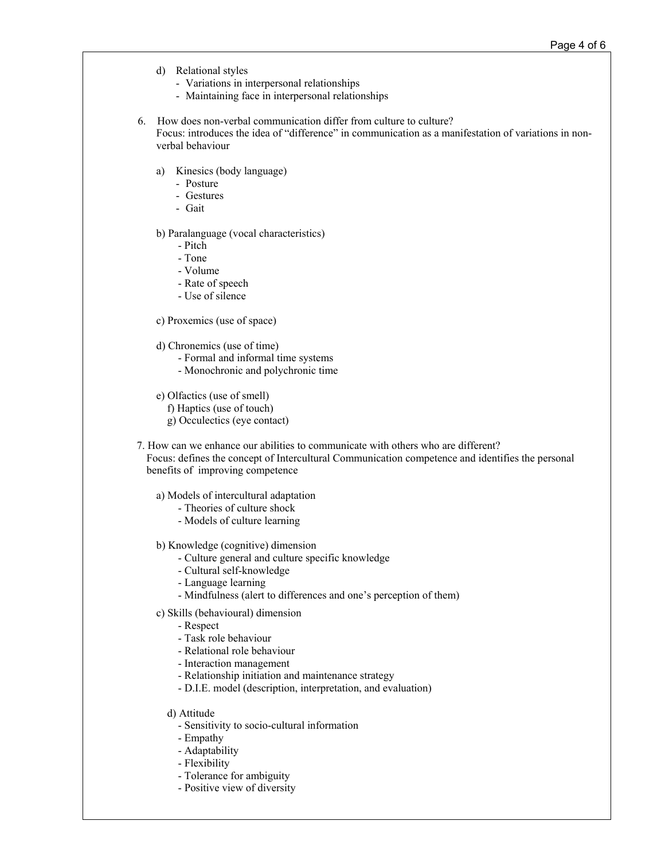- d) Relational styles
	- Variations in interpersonal relationships
	- Maintaining face in interpersonal relationships
- 6. How does non-verbal communication differ from culture to culture? Focus: introduces the idea of "difference" in communication as a manifestation of variations in nonverbal behaviour
	- a) Kinesics (body language)
		- Posture
		- Gestures
		- Gait

b) Paralanguage (vocal characteristics)

- Pitch
- Tone
- Volume
- Rate of speech
- Use of silence
- c) Proxemics (use of space)
- d) Chronemics (use of time)
	- Formal and informal time systems
	- Monochronic and polychronic time
- e) Olfactics (use of smell)
	- f) Haptics (use of touch)
	- g) Occulectics (eye contact)
- 7. How can we enhance our abilities to communicate with others who are different? Focus: defines the concept of Intercultural Communication competence and identifies the personal benefits of improving competence
	- a) Models of intercultural adaptation
		- Theories of culture shock
		- Models of culture learning
	- b) Knowledge (cognitive) dimension
		- Culture general and culture specific knowledge
		- Cultural self-knowledge
		- Language learning
		- Mindfulness (alert to differences and one's perception of them)
	- c) Skills (behavioural) dimension
		- Respect
		- Task role behaviour
		- Relational role behaviour
		- Interaction management
		- Relationship initiation and maintenance strategy
		- D.I.E. model (description, interpretation, and evaluation)
		- d) Attitude
			- Sensitivity to socio-cultural information
			- Empathy
			- Adaptability
			- Flexibility
			- Tolerance for ambiguity
			- Positive view of diversity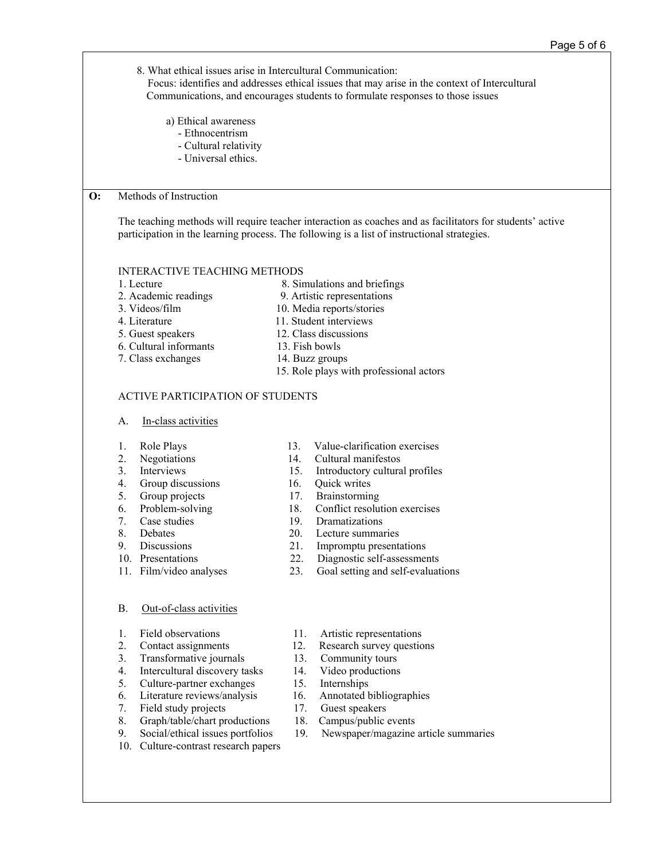|                                         | 8. What ethical issues arise in Intercultural Communication:                                                                                                                                             |                                     | Focus: identifies and addresses ethical issues that may arise in the context of Intercultural<br>Communications, and encourages students to formulate responses to those issues |  |  |  |  |
|-----------------------------------------|----------------------------------------------------------------------------------------------------------------------------------------------------------------------------------------------------------|-------------------------------------|---------------------------------------------------------------------------------------------------------------------------------------------------------------------------------|--|--|--|--|
|                                         | a) Ethical awareness<br>- Ethnocentrism                                                                                                                                                                  |                                     |                                                                                                                                                                                 |  |  |  |  |
|                                         | - Cultural relativity                                                                                                                                                                                    |                                     |                                                                                                                                                                                 |  |  |  |  |
|                                         | - Universal ethics.                                                                                                                                                                                      |                                     |                                                                                                                                                                                 |  |  |  |  |
|                                         |                                                                                                                                                                                                          |                                     |                                                                                                                                                                                 |  |  |  |  |
| $\mathbf{O}$ :                          | Methods of Instruction                                                                                                                                                                                   |                                     |                                                                                                                                                                                 |  |  |  |  |
|                                         | The teaching methods will require teacher interaction as coaches and as facilitators for students' active<br>participation in the learning process. The following is a list of instructional strategies. |                                     |                                                                                                                                                                                 |  |  |  |  |
|                                         |                                                                                                                                                                                                          | <b>INTERACTIVE TEACHING METHODS</b> |                                                                                                                                                                                 |  |  |  |  |
|                                         | 1. Lecture                                                                                                                                                                                               |                                     | 8. Simulations and briefings                                                                                                                                                    |  |  |  |  |
| 2. Academic readings<br>3. Videos/film  |                                                                                                                                                                                                          |                                     | 9. Artistic representations<br>10. Media reports/stories                                                                                                                        |  |  |  |  |
|                                         | 4. Literature                                                                                                                                                                                            | 11. Student interviews              |                                                                                                                                                                                 |  |  |  |  |
| 5. Guest speakers                       |                                                                                                                                                                                                          | 12. Class discussions               |                                                                                                                                                                                 |  |  |  |  |
|                                         | 6. Cultural informants                                                                                                                                                                                   | 13. Fish bowls                      |                                                                                                                                                                                 |  |  |  |  |
| 7. Class exchanges<br>14. Buzz groups   |                                                                                                                                                                                                          |                                     |                                                                                                                                                                                 |  |  |  |  |
| 15. Role plays with professional actors |                                                                                                                                                                                                          |                                     |                                                                                                                                                                                 |  |  |  |  |
| <b>ACTIVE PARTICIPATION OF STUDENTS</b> |                                                                                                                                                                                                          |                                     |                                                                                                                                                                                 |  |  |  |  |
|                                         | In-class activities<br>A.                                                                                                                                                                                |                                     |                                                                                                                                                                                 |  |  |  |  |
|                                         | Role Plays<br>1.                                                                                                                                                                                         | 13.                                 | Value-clarification exercises                                                                                                                                                   |  |  |  |  |
|                                         | 2.<br>Negotiations                                                                                                                                                                                       | 14.                                 | Cultural manifestos                                                                                                                                                             |  |  |  |  |
|                                         | 3.<br>Interviews                                                                                                                                                                                         | 15.                                 | Introductory cultural profiles                                                                                                                                                  |  |  |  |  |
|                                         | 4.<br>Group discussions<br>5.<br>Group projects                                                                                                                                                          | 16.<br>17.                          | Quick writes<br>Brainstorming                                                                                                                                                   |  |  |  |  |
|                                         | 6.<br>Problem-solving                                                                                                                                                                                    | 18.                                 | Conflict resolution exercises                                                                                                                                                   |  |  |  |  |
|                                         | 7.<br>Case studies                                                                                                                                                                                       | 19.                                 | Dramatizations                                                                                                                                                                  |  |  |  |  |
|                                         | 8<br>Debates                                                                                                                                                                                             | 20.                                 | Lecture summaries                                                                                                                                                               |  |  |  |  |
|                                         | 9.<br>Discussions                                                                                                                                                                                        | 21.                                 | Impromptu presentations                                                                                                                                                         |  |  |  |  |
|                                         | 10. Presentations                                                                                                                                                                                        | 22.<br>23.                          | Diagnostic self-assessments                                                                                                                                                     |  |  |  |  |
|                                         | 11. Film/video analyses                                                                                                                                                                                  |                                     | Goal setting and self-evaluations                                                                                                                                               |  |  |  |  |
|                                         | Out-of-class activities<br><b>B.</b>                                                                                                                                                                     |                                     |                                                                                                                                                                                 |  |  |  |  |
|                                         | Field observations<br>1.                                                                                                                                                                                 | 11.                                 | Artistic representations                                                                                                                                                        |  |  |  |  |
|                                         | 2.<br>Contact assignments                                                                                                                                                                                | 12.                                 | Research survey questions                                                                                                                                                       |  |  |  |  |
|                                         | 3.<br>Transformative journals                                                                                                                                                                            | 13.                                 | Community tours                                                                                                                                                                 |  |  |  |  |
|                                         | 4.<br>Intercultural discovery tasks                                                                                                                                                                      | 14.                                 | Video productions                                                                                                                                                               |  |  |  |  |
|                                         | 5.<br>Culture-partner exchanges                                                                                                                                                                          | 15.                                 | Internships                                                                                                                                                                     |  |  |  |  |
|                                         | 6.<br>Literature reviews/analysis<br>7.<br>Field study projects                                                                                                                                          | 16.<br>17.                          | Annotated bibliographies<br>Guest speakers                                                                                                                                      |  |  |  |  |
|                                         | 8.<br>Graph/table/chart productions                                                                                                                                                                      | 18.                                 | Campus/public events                                                                                                                                                            |  |  |  |  |
|                                         | 9.<br>Social/ethical issues portfolios                                                                                                                                                                   | 19.                                 | Newspaper/magazine article summaries                                                                                                                                            |  |  |  |  |
|                                         | 10.<br>Culture-contrast research papers                                                                                                                                                                  |                                     |                                                                                                                                                                                 |  |  |  |  |